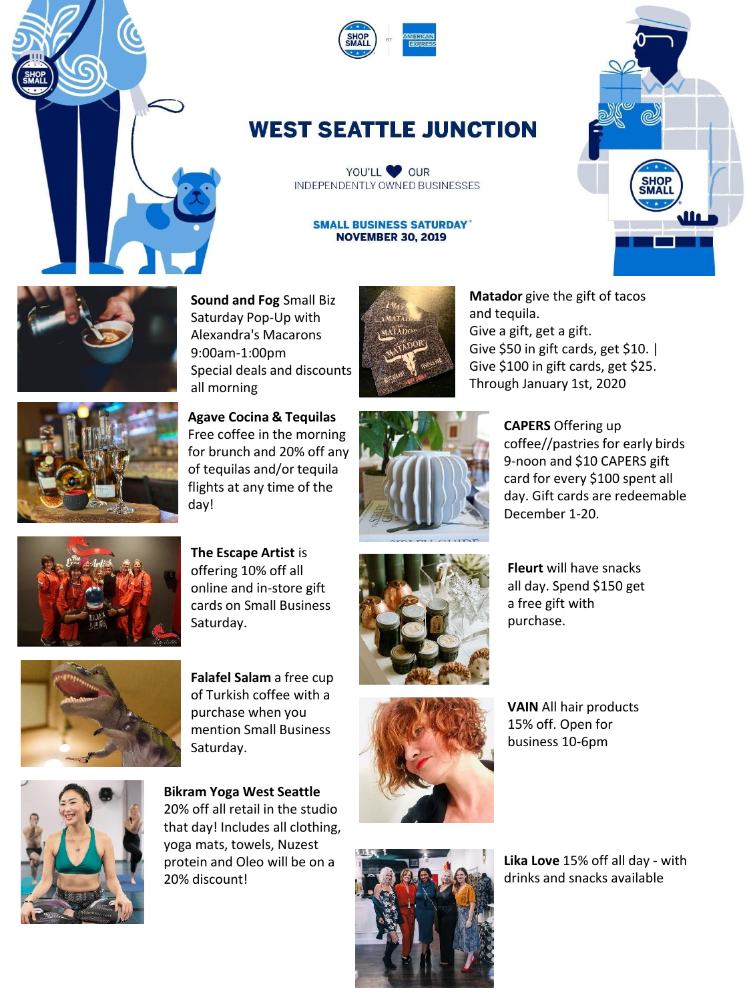



## **WEST SEATTLE JUNCTION**

YOU'LL OUR INDEPENDENTLY OWNED BUSINESSES

## **SMALL BUSINESS SATURDAY® NOVEMBER 30, 2019**







Free coffee in the morning for brunch and 20% off any of tequilas and/or tequila flights at any time of the day!

**Sound and Fog** Small Biz Saturday Pop-Up with



**Matador** give the gift of tacos and tequila. Give a gift, get a gift. Give \$50 in gift cards, get \$10. | Give \$100 in gift cards, get \$25. Through January 1st, 2020



**CAPERS** Offering up coffee//pastries for early birds 9-noon and \$10 CAPERS gift card for every \$100 spent all day. Gift cards are redeemable December 1-20.



**The Escape Artist** is offering 10% off all online and in-store gift cards on Small Business Saturday.



**Falafel Salam** a free cup of Turkish coffee with a purchase when you mention Small Business Saturday.



**Bikram Yoga West Seattle**  20% off all retail in the studio that day! Includes all clothing, yoga mats, towels, Nuzest protein and Oleo will be on a 20% discount!







**VAIN** All hair products 15% off. Open for business 10-6pm



**Lika Love** 15% off all day - with drinks and snacks available